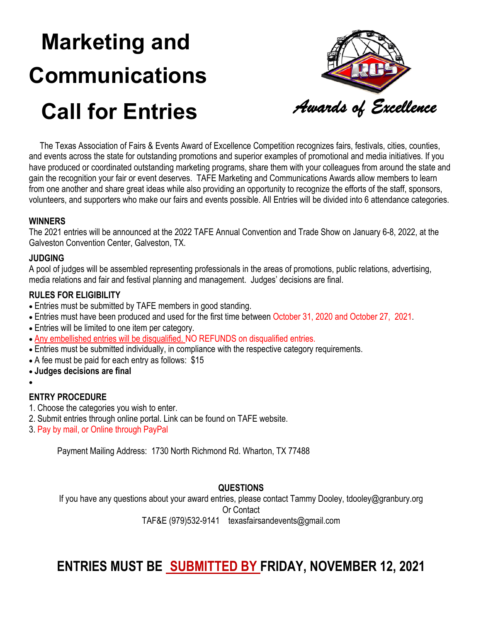# **Marketing and Communications Call for Entries**



 The Texas Association of Fairs & Events Award of Excellence Competition recognizes fairs, festivals, cities, counties, and events across the state for outstanding promotions and superior examples of promotional and media initiatives. If you have produced or coordinated outstanding marketing programs, share them with your colleagues from around the state and gain the recognition your fair or event deserves. TAFE Marketing and Communications Awards allow members to learn from one another and share great ideas while also providing an opportunity to recognize the efforts of the staff, sponsors, volunteers, and supporters who make our fairs and events possible. All Entries will be divided into 6 attendance categories.

#### **WINNERS**

The 2021 entries will be announced at the 2022 TAFE Annual Convention and Trade Show on January 6-8, 2022, at the Galveston Convention Center, Galveston, TX.

#### **JUDGING**

A pool of judges will be assembled representing professionals in the areas of promotions, public relations, advertising, media relations and fair and festival planning and management. Judges' decisions are final.

#### **RULES FOR ELIGIBILITY**

- Entries must be submitted by TAFE members in good standing.
- Entries must have been produced and used for the first time between October 31, 2020 and October 27, 2021.
- Entries will be limited to one item per category.
- Any embellished entries will be disqualified. NO REFUNDS on disqualified entries.
- Entries must be submitted individually, in compliance with the respective category requirements.
- A fee must be paid for each entry as follows: \$15
- **Judges decisions are final**
- •

#### **ENTRY PROCEDURE**

- 1. Choose the categories you wish to enter.
- 2. Submit entries through online portal. Link can be found on TAFE website.
- 3. Pay by mail, or Online through PayPal

Payment Mailing Address: 1730 North Richmond Rd. Wharton, TX 77488

#### **QUESTIONS**

If you have any questions about your award entries, please contact Tammy Dooley, tdooley@granbury.org Or Contact TAF&E (979)532-9141 texasfairsandevents@gmail.com

## **ENTRIES MUST BE SUBMITTED BY FRIDAY, NOVEMBER 12, 2021**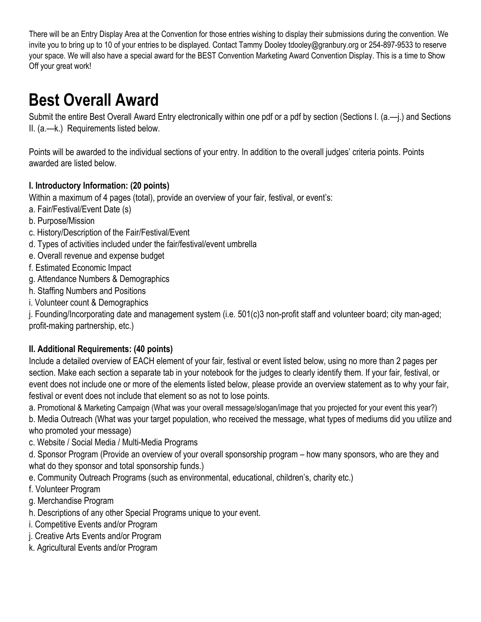There will be an Entry Display Area at the Convention for those entries wishing to display their submissions during the convention. We invite you to bring up to 10 of your entries to be displayed. Contact Tammy Dooley tdooley@granbury.org or 254-897-9533 to reserve your space. We will also have a special award for the BEST Convention Marketing Award Convention Display. This is a time to Show Off your great work!

## **Best Overall Award**

Submit the entire Best Overall Award Entry electronically within one pdf or a pdf by section (Sections I. (a.—j.) and Sections II. (a.—k.) Requirements listed below.

Points will be awarded to the individual sections of your entry. In addition to the overall judges' criteria points. Points awarded are listed below.

### **I. Introductory Information: (20 points)**

Within a maximum of 4 pages (total), provide an overview of your fair, festival, or event's:

- a. Fair/Festival/Event Date (s)
- b. Purpose/Mission
- c. History/Description of the Fair/Festival/Event
- d. Types of activities included under the fair/festival/event umbrella
- e. Overall revenue and expense budget
- f. Estimated Economic Impact
- g. Attendance Numbers & Demographics
- h. Staffing Numbers and Positions
- i. Volunteer count & Demographics

j. Founding/Incorporating date and management system (i.e. 501(c)3 non-profit staff and volunteer board; city man-aged; profit-making partnership, etc.)

### **II. Additional Requirements: (40 points)**

Include a detailed overview of EACH element of your fair, festival or event listed below, using no more than 2 pages per section. Make each section a separate tab in your notebook for the judges to clearly identify them. If your fair, festival, or event does not include one or more of the elements listed below, please provide an overview statement as to why your fair, festival or event does not include that element so as not to lose points.

a. Promotional & Marketing Campaign (What was your overall message/slogan/image that you projected for your event this year?)

b. Media Outreach (What was your target population, who received the message, what types of mediums did you utilize and who promoted your message)

c. Website / Social Media / Multi-Media Programs

d. Sponsor Program (Provide an overview of your overall sponsorship program – how many sponsors, who are they and what do they sponsor and total sponsorship funds.)

e. Community Outreach Programs (such as environmental, educational, children's, charity etc.)

- f. Volunteer Program
- g. Merchandise Program
- h. Descriptions of any other Special Programs unique to your event.
- i. Competitive Events and/or Program
- j. Creative Arts Events and/or Program
- k. Agricultural Events and/or Program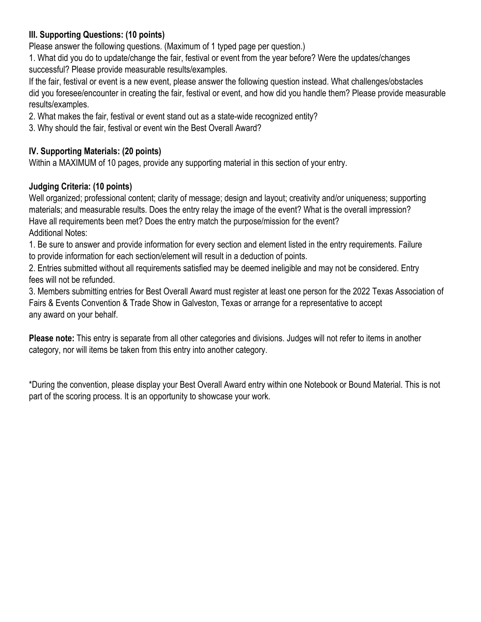### **III. Supporting Questions: (10 points)**

Please answer the following questions. (Maximum of 1 typed page per question.)

1. What did you do to update/change the fair, festival or event from the year before? Were the updates/changes successful? Please provide measurable results/examples.

If the fair, festival or event is a new event, please answer the following question instead. What challenges/obstacles did you foresee/encounter in creating the fair, festival or event, and how did you handle them? Please provide measurable results/examples.

2. What makes the fair, festival or event stand out as a state-wide recognized entity?

3. Why should the fair, festival or event win the Best Overall Award?

## **IV. Supporting Materials: (20 points)**

Within a MAXIMUM of 10 pages, provide any supporting material in this section of your entry.

### **Judging Criteria: (10 points)**

Well organized; professional content; clarity of message; design and layout; creativity and/or uniqueness; supporting materials; and measurable results. Does the entry relay the image of the event? What is the overall impression? Have all requirements been met? Does the entry match the purpose/mission for the event? Additional Notes:

1. Be sure to answer and provide information for every section and element listed in the entry requirements. Failure to provide information for each section/element will result in a deduction of points.

2. Entries submitted without all requirements satisfied may be deemed ineligible and may not be considered. Entry fees will not be refunded.

3. Members submitting entries for Best Overall Award must register at least one person for the 2022 Texas Association of Fairs & Events Convention & Trade Show in Galveston, Texas or arrange for a representative to accept any award on your behalf.

**Please note:** This entry is separate from all other categories and divisions. Judges will not refer to items in another category, nor will items be taken from this entry into another category.

\*During the convention, please display your Best Overall Award entry within one Notebook or Bound Material. This is not part of the scoring process. It is an opportunity to showcase your work.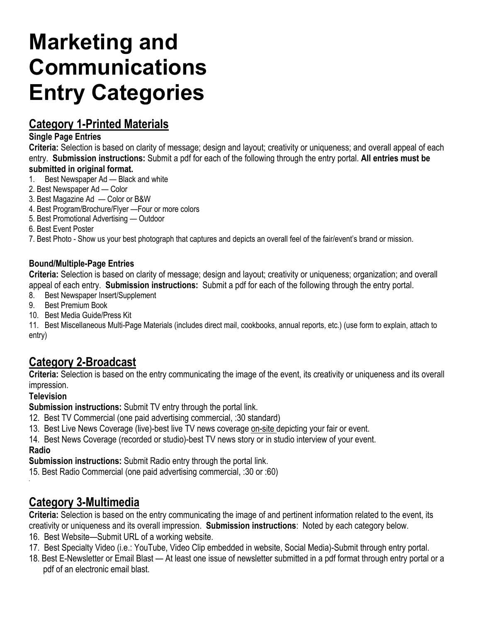## **Marketing and Communications Entry Categories**

## **Category 1-Printed Materials**

#### **Single Page Entries**

**Criteria:** Selection is based on clarity of message; design and layout; creativity or uniqueness; and overall appeal of each entry. **Submission instructions:** Submit a pdf for each of the following through the entry portal. **All entries must be submitted in original format.** 

- 1. Best Newspaper Ad Black and white
- 2. Best Newspaper Ad Color
- 3. Best Magazine Ad Color or B&W
- 4. Best Program/Brochure/Flyer —Four or more colors
- 5. Best Promotional Advertising Outdoor
- 6. Best Event Poster

7. Best Photo - Show us your best photograph that captures and depicts an overall feel of the fair/event's brand or mission.

#### **Bound/Multiple-Page Entries**

**Criteria:** Selection is based on clarity of message; design and layout; creativity or uniqueness; organization; and overall appeal of each entry. **Submission instructions:** Submit a pdf for each of the following through the entry portal.

- 8. Best Newspaper Insert/Supplement
- 9. Best Premium Book
- 10. Best Media Guide/Press Kit

11. Best Miscellaneous Multi-Page Materials (includes direct mail, cookbooks, annual reports, etc.) (use form to explain, attach to entry)

## **Category 2-Broadcast**

**Criteria:** Selection is based on the entry communicating the image of the event, its creativity or uniqueness and its overall impression.

#### **Television**

**Submission instructions:** Submit TV entry through the portal link.

- 12. Best TV Commercial (one paid advertising commercial, :30 standard)
- 13. Best Live News Coverage (live)-best live TV news coverage on-site depicting your fair or event.

14. Best News Coverage (recorded or studio)-best TV news story or in studio interview of your event. **Radio**

**Submission instructions:** Submit Radio entry through the portal link.

15. Best Radio Commercial (one paid advertising commercial, :30 or :60)

## **Category 3-Multimedia**

**Criteria:** Selection is based on the entry communicating the image of and pertinent information related to the event, its creativity or uniqueness and its overall impression. **Submission instructions**: Noted by each category below.

- 16. Best Website—Submit URL of a working website.
- 17. Best Specialty Video (i.e.: YouTube, Video Clip embedded in website, Social Media)-Submit through entry portal.
- 18. Best E-Newsletter or Email Blast At least one issue of newsletter submitted in a pdf format through entry portal or a pdf of an electronic email blast.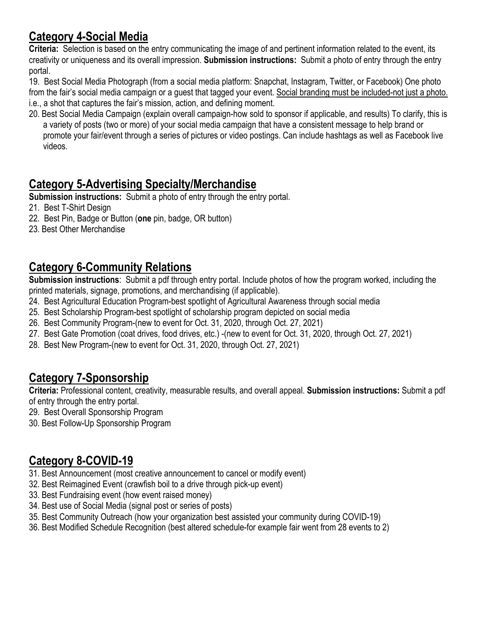## **Category 4-Social Media**

**Criteria:** Selection is based on the entry communicating the image of and pertinent information related to the event, its creativity or uniqueness and its overall impression. **Submission instructions:** Submit a photo of entry through the entry portal.

19. Best Social Media Photograph (from a social media platform: Snapchat, Instagram, Twitter, or Facebook) One photo from the fair's social media campaign or a guest that tagged your event. Social branding must be included-not just a photo. i.e., a shot that captures the fair's mission, action, and defining moment.

20. Best Social Media Campaign (explain overall campaign-how sold to sponsor if applicable, and results) To clarify, this is a variety of posts (two or more) of your social media campaign that have a consistent message to help brand or promote your fair/event through a series of pictures or video postings. Can include hashtags as well as Facebook live videos.

## **Category 5-Advertising Specialty/Merchandise**

**Submission instructions:** Submit a photo of entry through the entry portal.

- 21. Best T-Shirt Design
- 22. Best Pin, Badge or Button (**one** pin, badge, OR button)
- 23. Best Other Merchandise

## **Category 6-Community Relations**

**Submission instructions**: Submit a pdf through entry portal. Include photos of how the program worked, including the printed materials, signage, promotions, and merchandising (if applicable).

- 24. Best Agricultural Education Program-best spotlight of Agricultural Awareness through social media
- 25. Best Scholarship Program-best spotlight of scholarship program depicted on social media
- 26. Best Community Program-(new to event for Oct. 31, 2020, through Oct. 27, 2021)
- 27. Best Gate Promotion (coat drives, food drives, etc.) -(new to event for Oct. 31, 2020, through Oct. 27, 2021)
- 28. Best New Program-(new to event for Oct. 31, 2020, through Oct. 27, 2021)

## **Category 7-Sponsorship**

**Criteria:** Professional content, creativity, measurable results, and overall appeal. **Submission instructions:** Submit a pdf of entry through the entry portal.

29. Best Overall Sponsorship Program

30. Best Follow-Up Sponsorship Program

## **Category 8-COVID-19**

- 31. Best Announcement (most creative announcement to cancel or modify event)
- 32. Best Reimagined Event (crawfish boil to a drive through pick-up event)
- 33. Best Fundraising event (how event raised money)
- 34. Best use of Social Media (signal post or series of posts)
- 35. Best Community Outreach (how your organization best assisted your community during COVID-19)
- 36. Best Modified Schedule Recognition (best altered schedule-for example fair went from 28 events to 2)